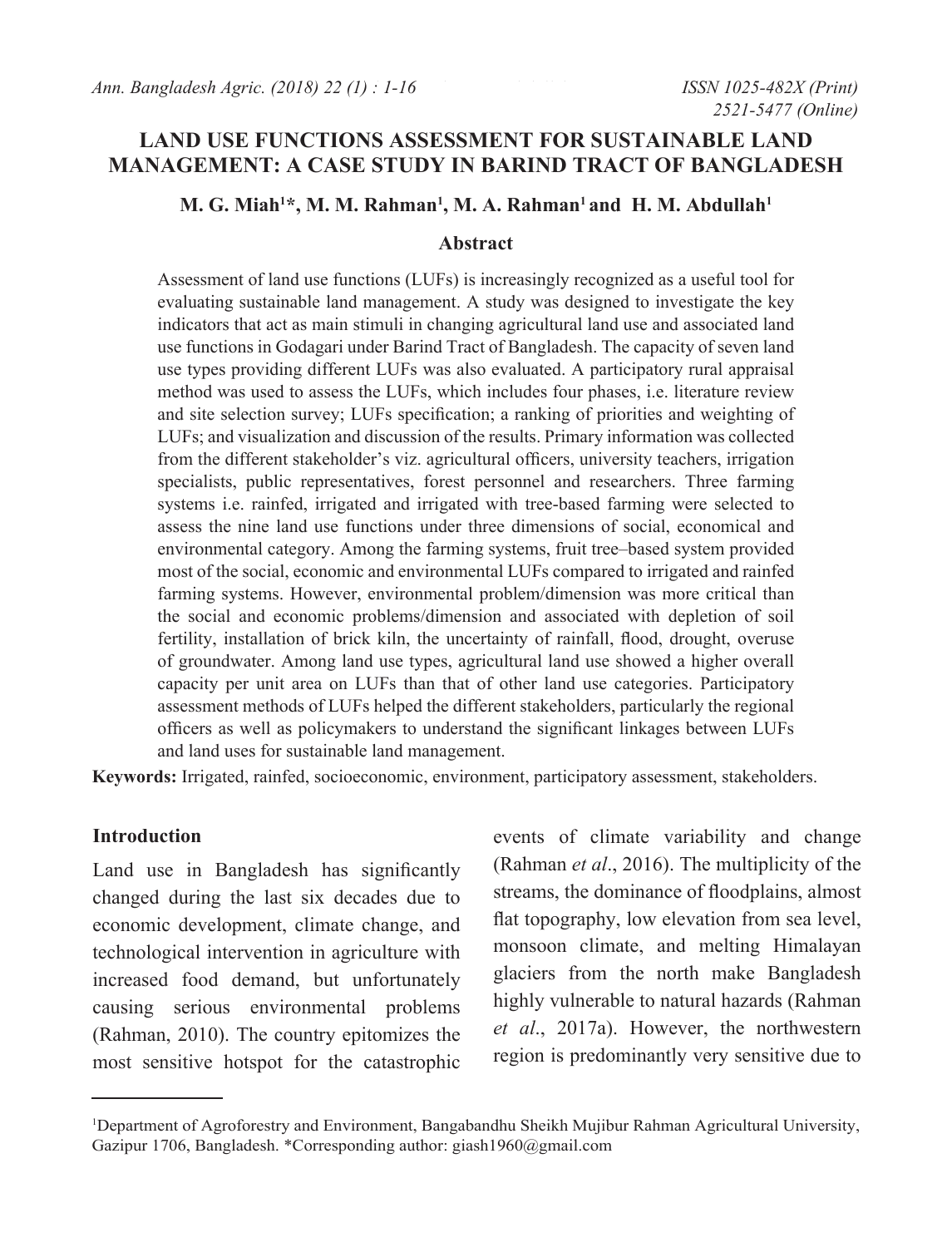# **LAND USE FUNCTIONS ASSESSMENT FOR SUSTAINABLE LAND MANAGEMENT: A CASE STUDY IN BARIND TRACT OF BANGLADESH**

#### **M. G. Miah1 \*, M. M. Rahman1 , M. A. Rahman1 and H. M. Abdullah1**

#### **Abstract**

Assessment of land use functions (LUFs) is increasingly recognized as a useful tool for evaluating sustainable land management. A study was designed to investigate the key indicators that act as main stimuli in changing agricultural land use and associated land use functions in Godagari under Barind Tract of Bangladesh. The capacity of seven land use types providing different LUFs was also evaluated. A participatory rural appraisal method was used to assess the LUFs, which includes four phases, i.e. literature review and site selection survey; LUFs specification; a ranking of priorities and weighting of LUFs; and visualization and discussion of the results. Primary information was collected from the different stakeholder's viz. agricultural officers, university teachers, irrigation specialists, public representatives, forest personnel and researchers. Three farming systems i.e. rainfed, irrigated and irrigated with tree-based farming were selected to assess the nine land use functions under three dimensions of social, economical and environmental category. Among the farming systems, fruit tree–based system provided most of the social, economic and environmental LUFs compared to irrigated and rainfed farming systems. However, environmental problem/dimension was more critical than the social and economic problems/dimension and associated with depletion of soil fertility, installation of brick kiln, the uncertainty of rainfall, flood, drought, overuse of groundwater. Among land use types, agricultural land use showed a higher overall capacity per unit area on LUFs than that of other land use categories. Participatory assessment methods of LUFs helped the different stakeholders, particularly the regional officers as well as policymakers to understand the significant linkages between LUFs and land uses for sustainable land management.

**Keywords:** Irrigated, rainfed, socioeconomic, environment, participatory assessment, stakeholders.

### **Introduction**

Land use in Bangladesh has significantly changed during the last six decades due to economic development, climate change, and technological intervention in agriculture with increased food demand, but unfortunately causing serious environmental problems (Rahman, 2010). The country epitomizes the most sensitive hotspot for the catastrophic events of climate variability and change (Rahman *et al*., 2016). The multiplicity of the streams, the dominance of floodplains, almost flat topography, low elevation from sea level, monsoon climate, and melting Himalayan glaciers from the north make Bangladesh highly vulnerable to natural hazards (Rahman *et al*., 2017a). However, the northwestern region is predominantly very sensitive due to

<sup>1</sup> Department of Agroforestry and Environment, Bangabandhu Sheikh Mujibur Rahman Agricultural University, Gazipur 1706, Bangladesh. \*Corresponding author: giash1960@gmail.com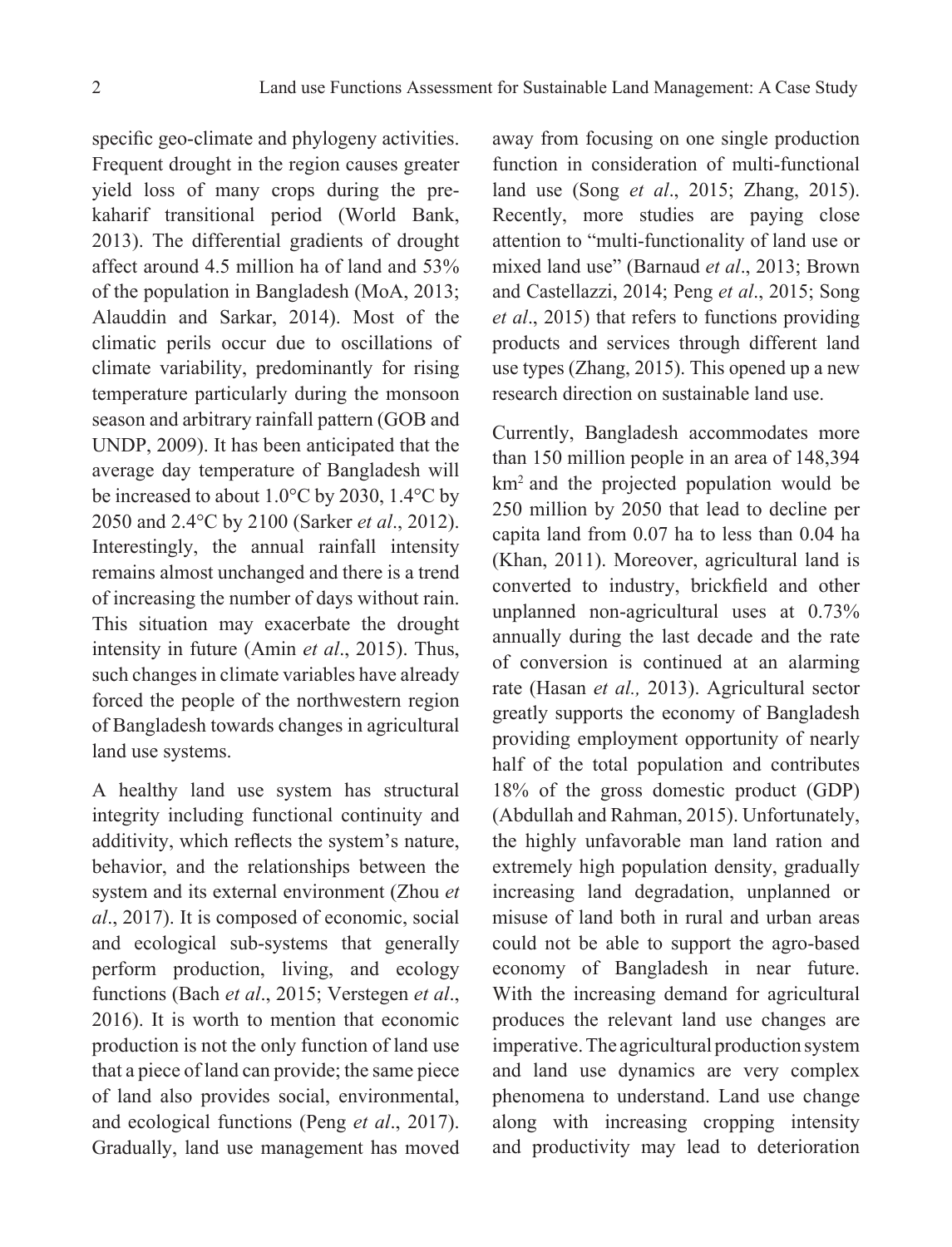specific geo-climate and phylogeny activities. Frequent drought in the region causes greater yield loss of many crops during the prekaharif transitional period (World Bank, 2013). The differential gradients of drought affect around 4.5 million ha of land and 53% of the population in Bangladesh (MoA, 2013; Alauddin and Sarkar, 2014). Most of the climatic perils occur due to oscillations of climate variability, predominantly for rising temperature particularly during the monsoon season and arbitrary rainfall pattern (GOB and UNDP, 2009). It has been anticipated that the average day temperature of Bangladesh will be increased to about 1.0°C by 2030, 1.4°C by 2050 and 2.4°C by 2100 (Sarker *et al*., 2012). Interestingly, the annual rainfall intensity remains almost unchanged and there is a trend of increasing the number of days without rain. This situation may exacerbate the drought intensity in future (Amin *et al*., 2015). Thus, such changes in climate variables have already forced the people of the northwestern region of Bangladesh towards changes in agricultural land use systems.

A healthy land use system has structural integrity including functional continuity and additivity, which reflects the system's nature, behavior, and the relationships between the system and its external environment (Zhou *et al*., 2017). It is composed of economic, social and ecological sub-systems that generally perform production, living, and ecology functions (Bach *et al*., 2015; Verstegen *et al*., 2016). It is worth to mention that economic production is not the only function of land use that a piece of land can provide; the same piece of land also provides social, environmental, and ecological functions (Peng *et al*., 2017). Gradually, land use management has moved

away from focusing on one single production function in consideration of multi-functional land use (Song *et al*., 2015; Zhang, 2015). Recently, more studies are paying close attention to "multi-functionality of land use or mixed land use" (Barnaud *et al*., 2013; Brown and Castellazzi, 2014; Peng *et al*., 2015; Song *et al*., 2015) that refers to functions providing products and services through different land use types (Zhang, 2015). This opened up a new research direction on sustainable land use.

Currently, Bangladesh accommodates more than 150 million people in an area of 148,394 km2 and the projected population would be 250 million by 2050 that lead to decline per capita land from 0.07 ha to less than 0.04 ha (Khan, 2011). Moreover, agricultural land is converted to industry, brickfield and other unplanned non-agricultural uses at 0.73% annually during the last decade and the rate of conversion is continued at an alarming rate (Hasan *et al.,* 2013). Agricultural sector greatly supports the economy of Bangladesh providing employment opportunity of nearly half of the total population and contributes 18% of the gross domestic product (GDP) (Abdullah and Rahman, 2015). Unfortunately, the highly unfavorable man land ration and extremely high population density, gradually increasing land degradation, unplanned or misuse of land both in rural and urban areas could not be able to support the agro-based economy of Bangladesh in near future. With the increasing demand for agricultural produces the relevant land use changes are imperative. The agricultural production system and land use dynamics are very complex phenomena to understand. Land use change along with increasing cropping intensity and productivity may lead to deterioration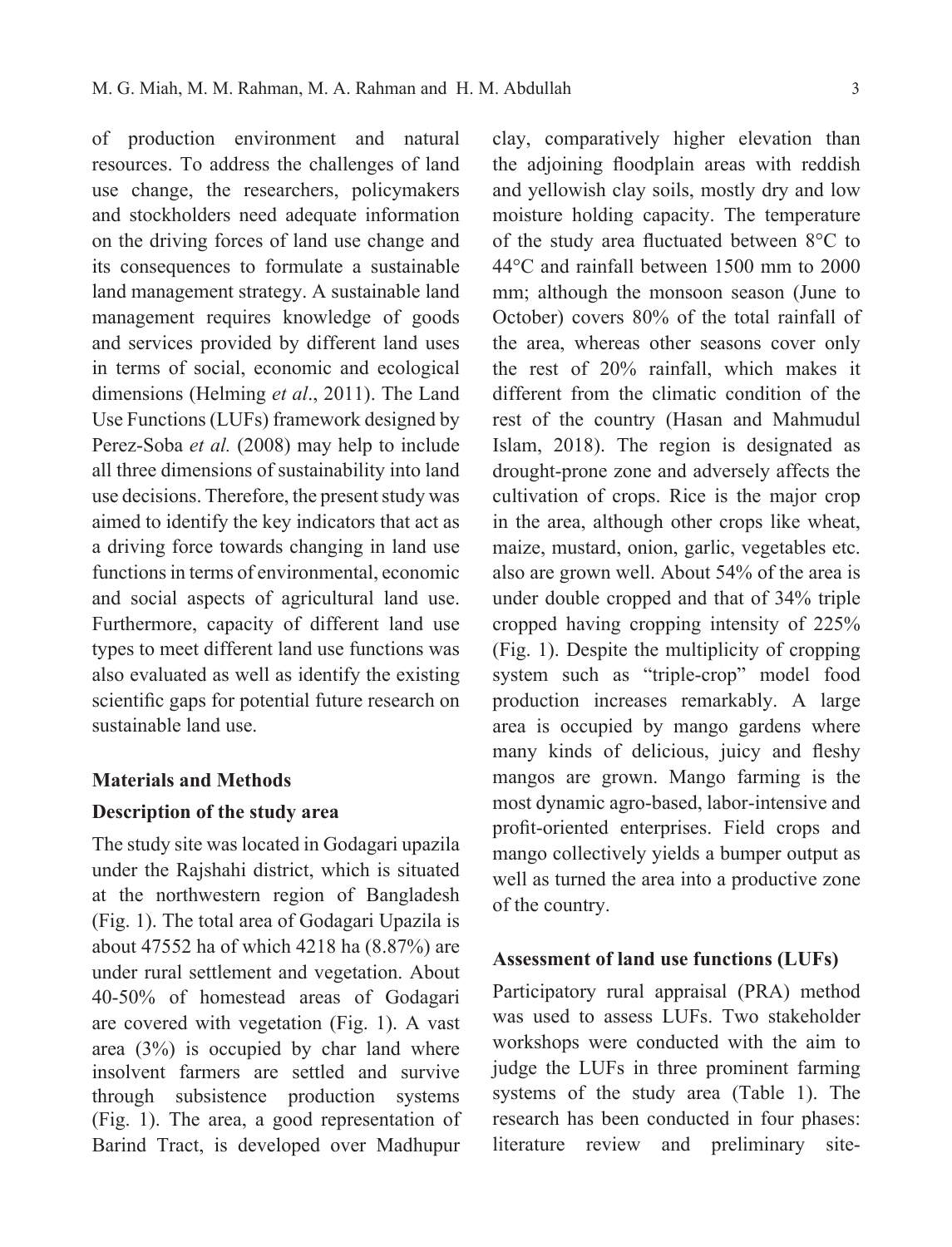of production environment and natural resources. To address the challenges of land use change, the researchers, policymakers and stockholders need adequate information on the driving forces of land use change and its consequences to formulate a sustainable land management strategy. A sustainable land management requires knowledge of goods and services provided by different land uses in terms of social, economic and ecological dimensions (Helming *et al*., 2011). The Land Use Functions (LUFs) framework designed by Perez-Soba *et al.* (2008) may help to include all three dimensions of sustainability into land use decisions. Therefore, the present study was aimed to identify the key indicators that act as a driving force towards changing in land use functions in terms of environmental, economic and social aspects of agricultural land use. Furthermore, capacity of different land use types to meet different land use functions was also evaluated as well as identify the existing scientific gaps for potential future research on sustainable land use.

#### **Materials and Methods**

## **Description of the study area**

The study site was located in Godagari upazila under the Rajshahi district, which is situated at the northwestern region of Bangladesh (Fig. 1). The total area of Godagari Upazila is about 47552 ha of which 4218 ha (8.87%) are under rural settlement and vegetation. About 40-50% of homestead areas of Godagari are covered with vegetation (Fig. 1). A vast area (3%) is occupied by char land where insolvent farmers are settled and survive through subsistence production systems (Fig. 1). The area, a good representation of Barind Tract, is developed over Madhupur

clay, comparatively higher elevation than the adjoining floodplain areas with reddish and yellowish clay soils, mostly dry and low moisture holding capacity. The temperature of the study area fluctuated between 8°C to 44°C and rainfall between 1500 mm to 2000 mm; although the monsoon season (June to October) covers 80% of the total rainfall of the area, whereas other seasons cover only the rest of 20% rainfall, which makes it different from the climatic condition of the rest of the country (Hasan and Mahmudul Islam, 2018). The region is designated as drought-prone zone and adversely affects the cultivation of crops. Rice is the major crop in the area, although other crops like wheat, maize, mustard, onion, garlic, vegetables etc. also are grown well. About 54% of the area is under double cropped and that of 34% triple cropped having cropping intensity of 225% (Fig. 1). Despite the multiplicity of cropping system such as "triple-crop" model food production increases remarkably. A large area is occupied by mango gardens where many kinds of delicious, juicy and fleshy mangos are grown. Mango farming is the most dynamic agro-based, labor-intensive and profit-oriented enterprises. Field crops and mango collectively yields a bumper output as well as turned the area into a productive zone of the country.

#### **Assessment of land use functions (LUFs)**

Participatory rural appraisal (PRA) method was used to assess LUFs. Two stakeholder workshops were conducted with the aim to judge the LUFs in three prominent farming systems of the study area (Table 1). The research has been conducted in four phases: literature review and preliminary site-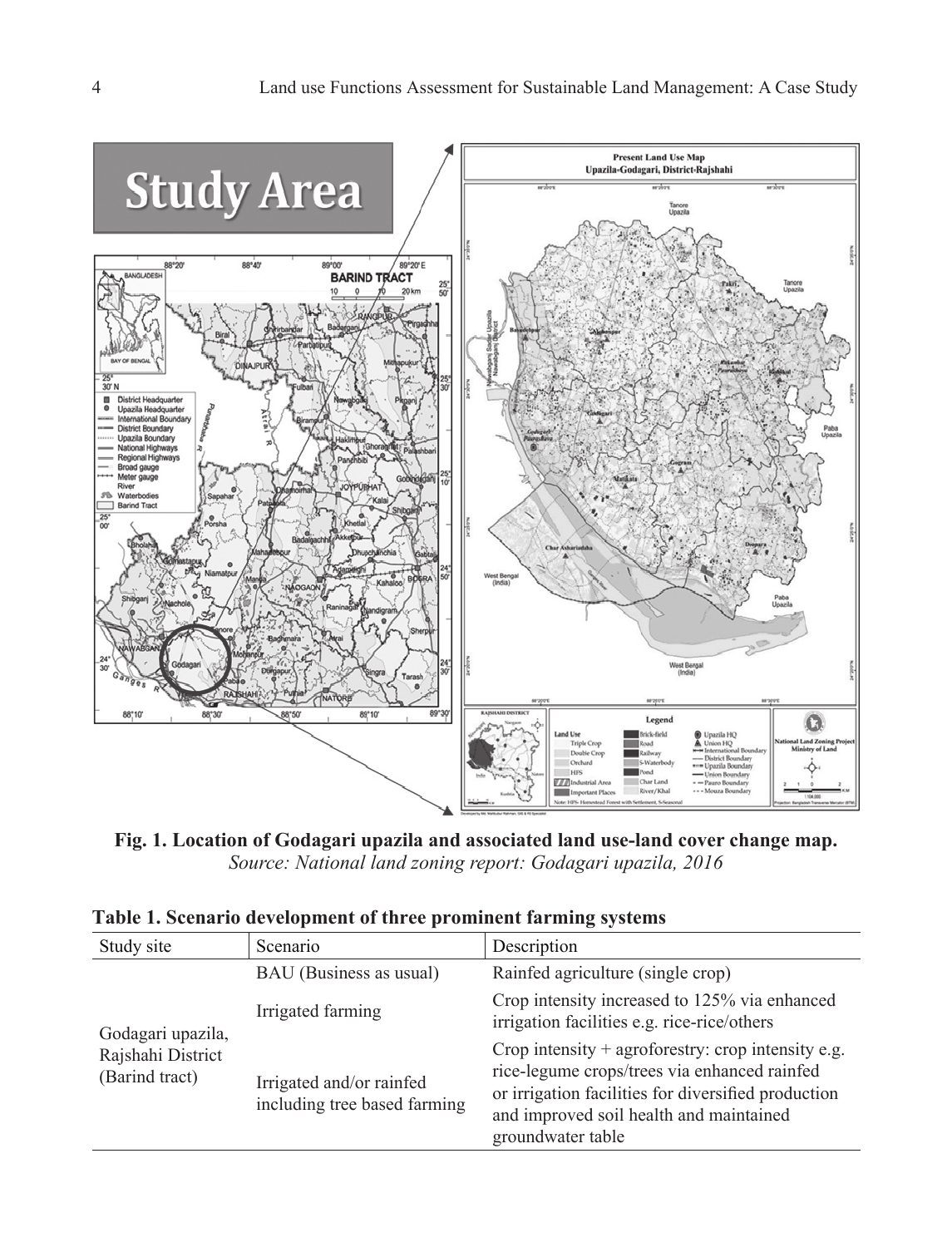

**Fig. 1. Location of Godagari upazila and associated land use-land cover change map.** *Source: National land zoning report: Godagari upazila, 2016*

| Study site                                               | Scenario                                                 | Description                                                                                                                                                                                                                 |  |  |
|----------------------------------------------------------|----------------------------------------------------------|-----------------------------------------------------------------------------------------------------------------------------------------------------------------------------------------------------------------------------|--|--|
| Godagari upazila,<br>Rajshahi District<br>(Barind tract) | BAU (Business as usual)                                  | Rainfed agriculture (single crop)                                                                                                                                                                                           |  |  |
|                                                          | Irrigated farming                                        | Crop intensity increased to 125% via enhanced<br>irrigation facilities e.g. rice-rice/others                                                                                                                                |  |  |
|                                                          | Irrigated and/or rainfed<br>including tree based farming | Crop intensity $+$ agroforestry: crop intensity e.g.<br>rice-legume crops/trees via enhanced rainfed<br>or irrigation facilities for diversified production<br>and improved soil health and maintained<br>groundwater table |  |  |

**Table 1. Scenario development of three prominent farming systems**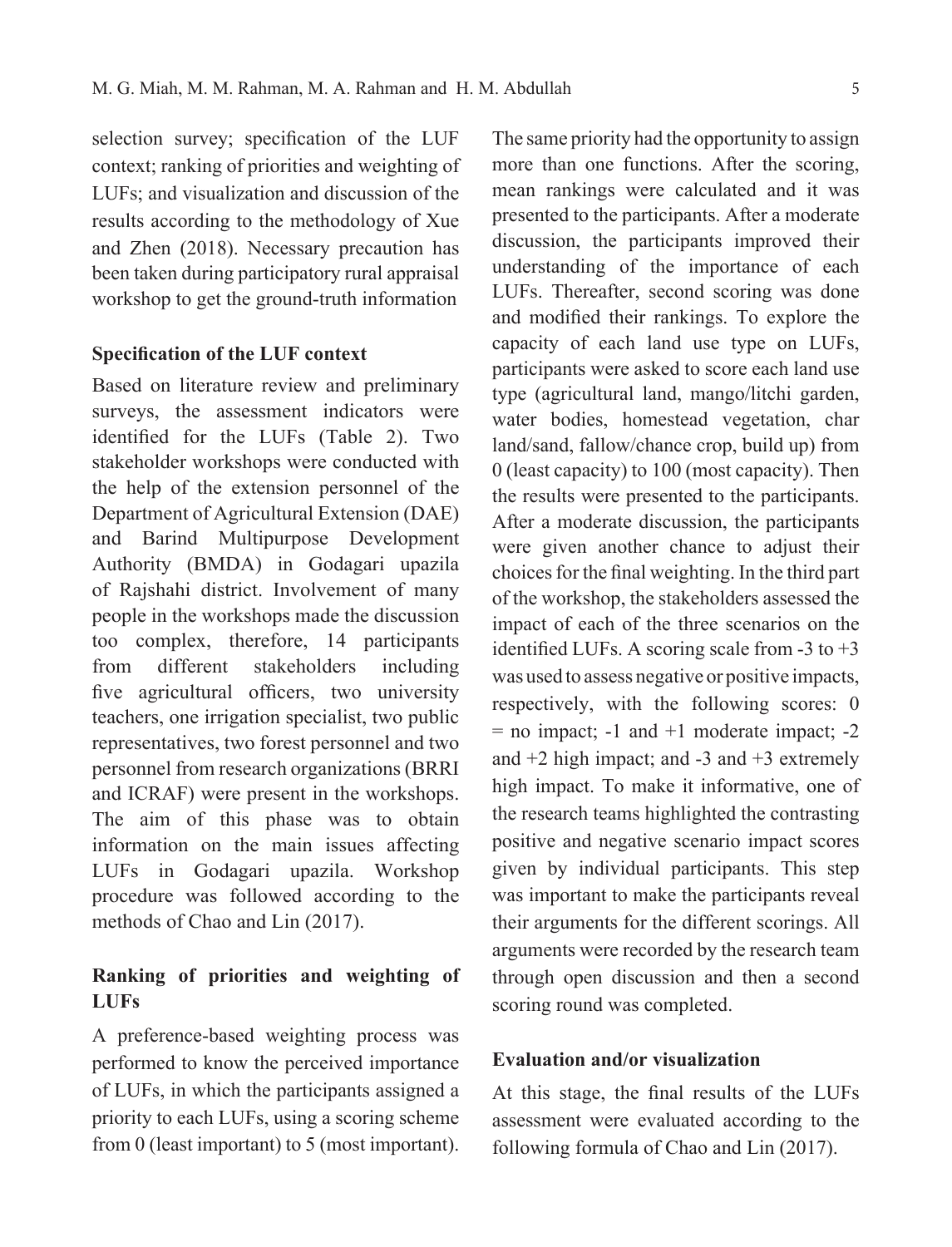selection survey; specification of the LUF context; ranking of priorities and weighting of LUFs; and visualization and discussion of the results according to the methodology of Xue and Zhen (2018). Necessary precaution has been taken during participatory rural appraisal workshop to get the ground-truth information

#### **Specification of the LUF context**

Based on literature review and preliminary surveys, the assessment indicators were identified for the LUFs (Table 2). Two stakeholder workshops were conducted with the help of the extension personnel of the Department of Agricultural Extension (DAE) and Barind Multipurpose Development Authority (BMDA) in Godagari upazila of Rajshahi district. Involvement of many people in the workshops made the discussion too complex, therefore, 14 participants from different stakeholders including five agricultural officers, two university teachers, one irrigation specialist, two public representatives, two forest personnel and two personnel from research organizations (BRRI and ICRAF) were present in the workshops. The aim of this phase was to obtain information on the main issues affecting LUFs in Godagari upazila. Workshop procedure was followed according to the methods of Chao and Lin (2017).

# **Ranking of priorities and weighting of LUFs**

A preference-based weighting process was performed to know the perceived importance of LUFs, in which the participants assigned a priority to each LUFs, using a scoring scheme from 0 (least important) to 5 (most important).

The same priority had the opportunity to assign more than one functions. After the scoring, mean rankings were calculated and it was presented to the participants. After a moderate discussion, the participants improved their understanding of the importance of each LUFs. Thereafter, second scoring was done and modified their rankings. To explore the capacity of each land use type on LUFs, participants were asked to score each land use type (agricultural land, mango/litchi garden, water bodies, homestead vegetation, char land/sand, fallow/chance crop, build up) from 0 (least capacity) to 100 (most capacity). Then the results were presented to the participants. After a moderate discussion, the participants were given another chance to adjust their choices for the final weighting. In the third part of the workshop, the stakeholders assessed the impact of each of the three scenarios on the identified LUFs. A scoring scale from  $-3$  to  $+3$ was used to assess negative or positive impacts, respectively, with the following scores: 0  $=$  no impact;  $-1$  and  $+1$  moderate impact;  $-2$ and  $+2$  high impact; and  $-3$  and  $+3$  extremely high impact. To make it informative, one of the research teams highlighted the contrasting positive and negative scenario impact scores given by individual participants. This step was important to make the participants reveal their arguments for the different scorings. All arguments were recorded by the research team through open discussion and then a second scoring round was completed.

### **Evaluation and/or visualization**

At this stage, the final results of the LUFs assessment were evaluated according to the following formula of Chao and Lin (2017).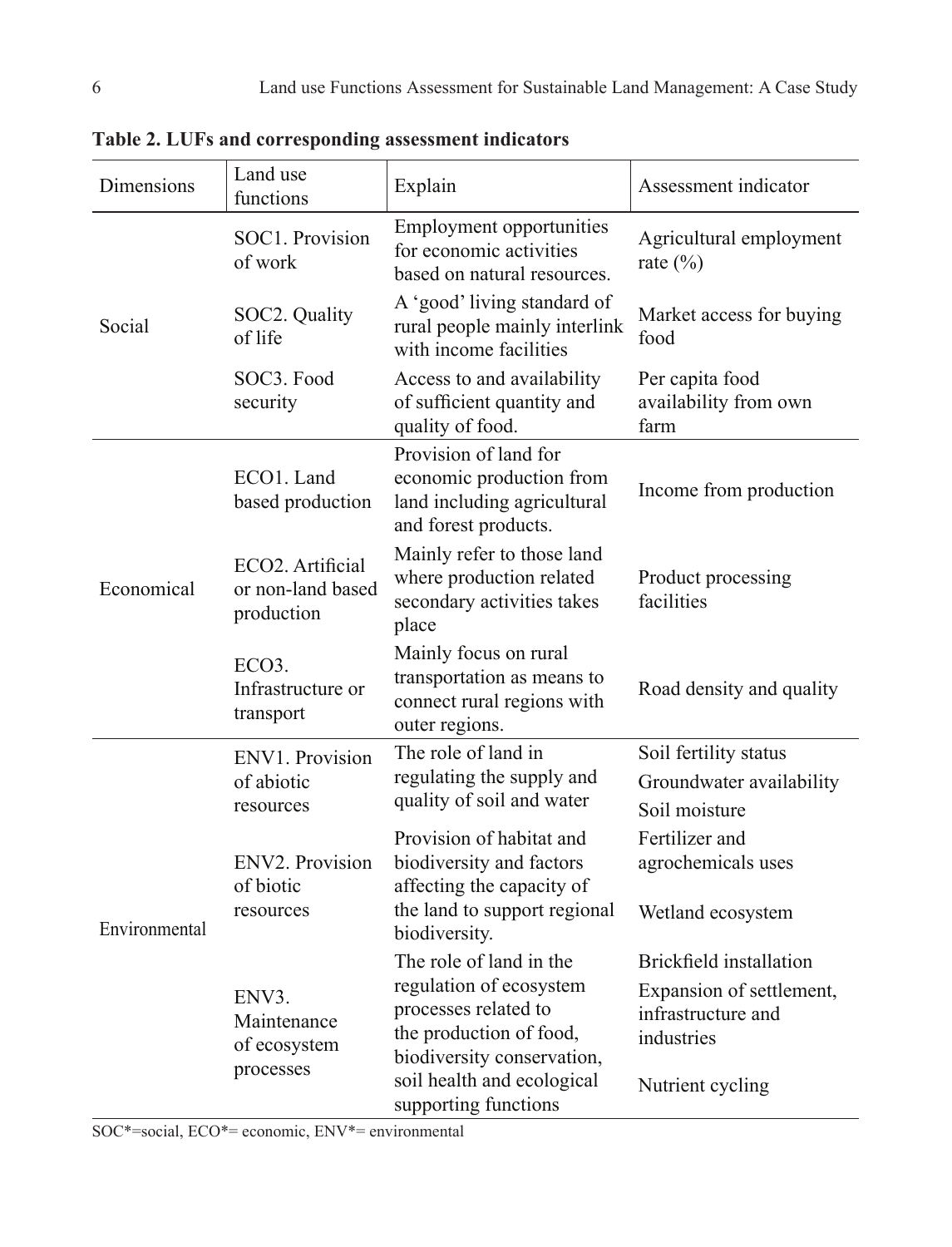| Dimensions    | Land use<br>functions                                            | Explain                                                                                                                                                                                   | Assessment indicator                                                                                               |  |  |
|---------------|------------------------------------------------------------------|-------------------------------------------------------------------------------------------------------------------------------------------------------------------------------------------|--------------------------------------------------------------------------------------------------------------------|--|--|
| Social        | SOC1. Provision<br>of work                                       | <b>Employment opportunities</b><br>for economic activities<br>based on natural resources.                                                                                                 | Agricultural employment<br>rate $(\% )$                                                                            |  |  |
|               | SOC2. Quality<br>of life                                         | A 'good' living standard of<br>rural people mainly interlink<br>with income facilities                                                                                                    | Market access for buying<br>food                                                                                   |  |  |
|               | SOC3. Food<br>security                                           | Access to and availability<br>of sufficient quantity and<br>quality of food.                                                                                                              | Per capita food<br>availability from own<br>farm                                                                   |  |  |
| Economical    | ECO1. Land<br>based production                                   | Provision of land for<br>economic production from<br>land including agricultural<br>and forest products.                                                                                  | Income from production                                                                                             |  |  |
|               | ECO <sub>2</sub> . Artificial<br>or non-land based<br>production | Mainly refer to those land<br>where production related<br>secondary activities takes<br>place                                                                                             | Product processing<br>facilities                                                                                   |  |  |
|               | ECO <sub>3</sub> .<br>Infrastructure or<br>transport             | Mainly focus on rural<br>transportation as means to<br>connect rural regions with<br>outer regions.                                                                                       | Road density and quality                                                                                           |  |  |
| Environmental | ENV1. Provision                                                  | The role of land in                                                                                                                                                                       | Soil fertility status                                                                                              |  |  |
|               | of abiotic<br>resources                                          | regulating the supply and<br>quality of soil and water                                                                                                                                    | Groundwater availability<br>Soil moisture                                                                          |  |  |
|               | ENV2. Provision<br>of biotic<br>resources                        | Provision of habitat and<br>biodiversity and factors<br>affecting the capacity of<br>the land to support regional<br>biodiversity.                                                        | Fertilizer and<br>agrochemicals uses<br>Wetland ecosystem                                                          |  |  |
|               | ENV3.<br>Maintenance<br>of ecosystem<br>processes                | The role of land in the<br>regulation of ecosystem<br>processes related to<br>the production of food,<br>biodiversity conservation,<br>soil health and ecological<br>supporting functions | <b>Brickfield</b> installation<br>Expansion of settlement,<br>infrastructure and<br>industries<br>Nutrient cycling |  |  |

**Table 2. LUFs and corresponding assessment indicators**

SOC\*=social, ECO\*= economic, ENV\*= environmental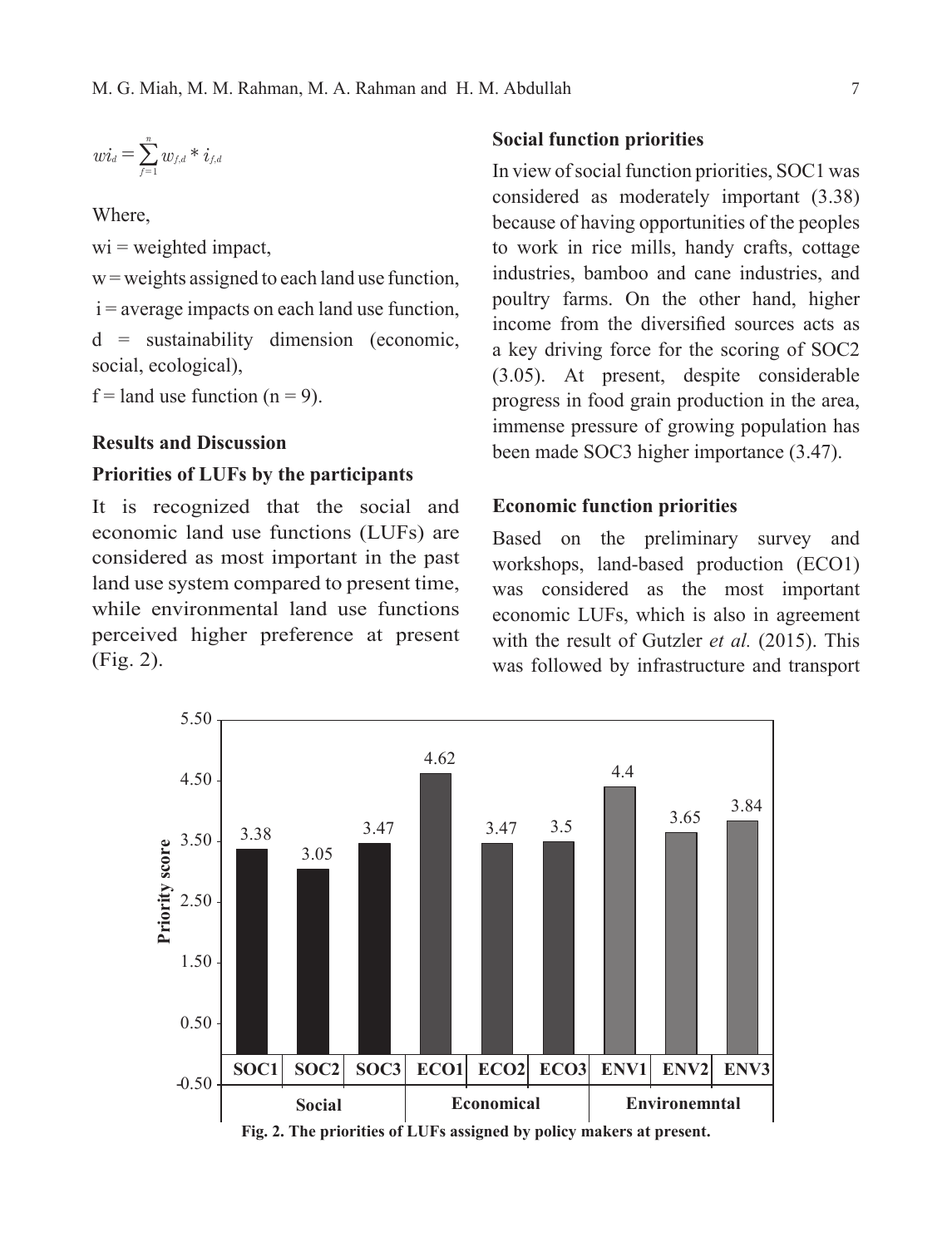$$
wi_d=\sum_{f=1}^n w_{f,d} * i_{f,d}
$$

Where,

 $wi = weighted impact$ ,

 $w =$  weights assigned to each land use function,

 $i =$  average impacts on each land use function,

d = sustainability dimension (economic, social, ecological),

 $f =$ land use function (n = 9).

### **Results and Discussion**

#### **Priorities of LUFs by the participants**

It is recognized that the social and economic land use functions (LUFs) are considered as most important in the past land use system compared to present time, while environmental land use functions perceived higher preference at present (Fig. 2).

### **Social function priorities**

In view of social function priorities, SOC1 was considered as moderately important (3.38) because of having opportunities of the peoples to work in rice mills, handy crafts, cottage industries, bamboo and cane industries, and poultry farms. On the other hand, higher income from the diversified sources acts as a key driving force for the scoring of SOC2 (3.05). At present, despite considerable progress in food grain production in the area, immense pressure of growing population has been made SOC3 higher importance (3.47).

### **Economic function priorities**

Based on the preliminary survey and workshops, land-based production (ECO1) was considered as the most important economic LUFs, which is also in agreement with the result of Gutzler *et al.* (2015). This was followed by infrastructure and transport

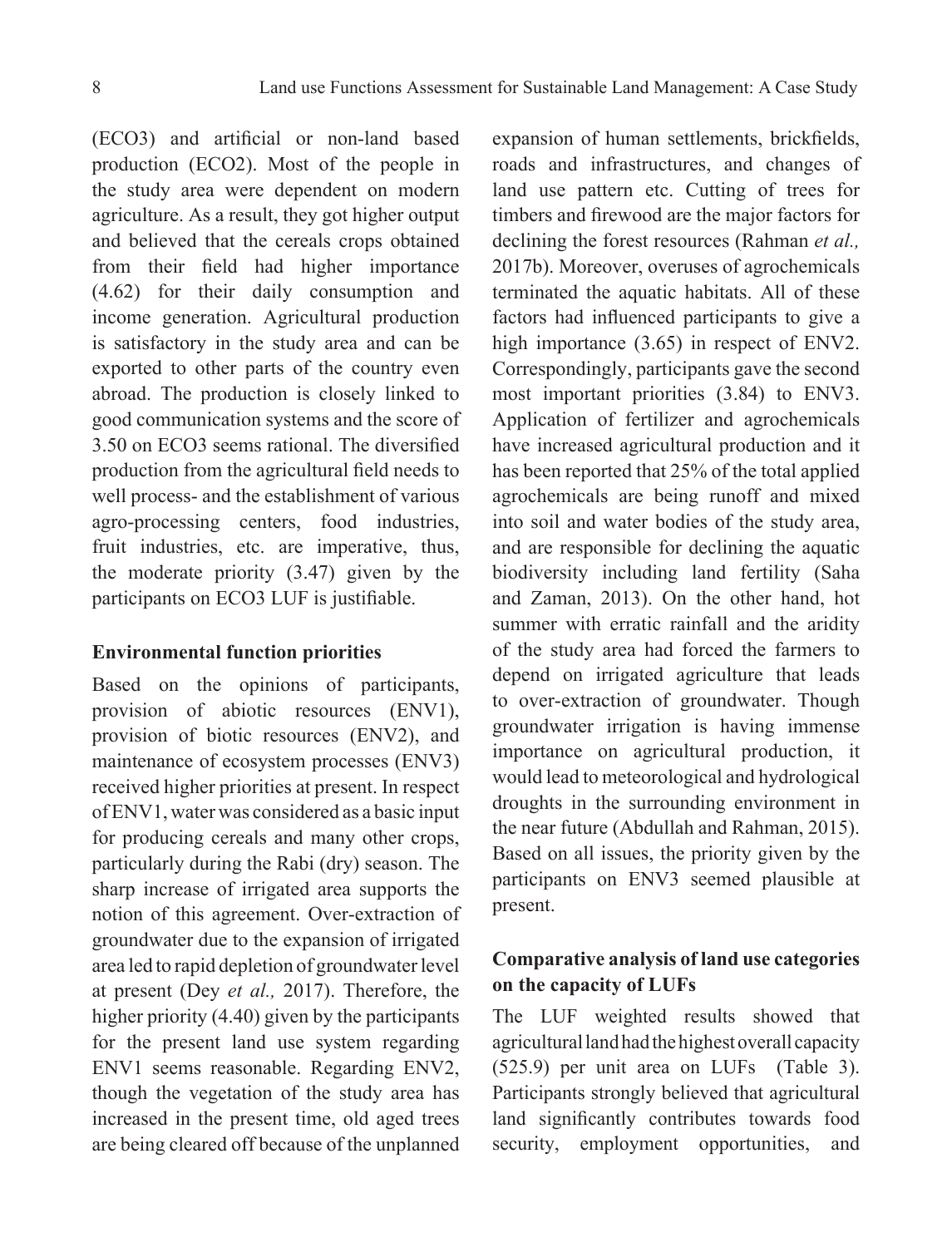(ECO3) and artificial or non-land based production (ECO2). Most of the people in the study area were dependent on modern agriculture. As a result, they got higher output and believed that the cereals crops obtained from their field had higher importance (4.62) for their daily consumption and income generation. Agricultural production is satisfactory in the study area and can be exported to other parts of the country even abroad. The production is closely linked to good communication systems and the score of 3.50 on ECO3 seems rational. The diversified production from the agricultural field needs to well process- and the establishment of various agro-processing centers, food industries, fruit industries, etc. are imperative, thus, the moderate priority (3.47) given by the participants on ECO3 LUF is justifiable.

#### **Environmental function priorities**

Based on the opinions of participants, provision of abiotic resources (ENV1), provision of biotic resources (ENV2), and maintenance of ecosystem processes (ENV3) received higher priorities at present. In respect of ENV1, water was considered as a basic input for producing cereals and many other crops, particularly during the Rabi (dry) season. The sharp increase of irrigated area supports the notion of this agreement. Over-extraction of groundwater due to the expansion of irrigated area led to rapid depletion of groundwater level at present (Dey *et al.,* 2017). Therefore, the higher priority (4.40) given by the participants for the present land use system regarding ENV1 seems reasonable. Regarding ENV2, though the vegetation of the study area has increased in the present time, old aged trees are being cleared off because of the unplanned

expansion of human settlements, brickfields, roads and infrastructures, and changes of land use pattern etc. Cutting of trees for timbers and firewood are the major factors for declining the forest resources (Rahman *et al.,* 2017b). Moreover, overuses of agrochemicals terminated the aquatic habitats. All of these factors had influenced participants to give a high importance  $(3.65)$  in respect of ENV2. Correspondingly, participants gave the second most important priorities (3.84) to ENV3. Application of fertilizer and agrochemicals have increased agricultural production and it has been reported that 25% of the total applied agrochemicals are being runoff and mixed into soil and water bodies of the study area, and are responsible for declining the aquatic biodiversity including land fertility (Saha and Zaman, 2013). On the other hand, hot summer with erratic rainfall and the aridity of the study area had forced the farmers to depend on irrigated agriculture that leads to over-extraction of groundwater. Though groundwater irrigation is having immense importance on agricultural production, it would lead to meteorological and hydrological droughts in the surrounding environment in the near future (Abdullah and Rahman, 2015). Based on all issues, the priority given by the participants on ENV3 seemed plausible at present.

# **Comparative analysis of land use categories on the capacity of LUFs**

The LUF weighted results showed that agricultural land had the highest overall capacity (525.9) per unit area on LUFs (Table 3). Participants strongly believed that agricultural land significantly contributes towards food security, employment opportunities, and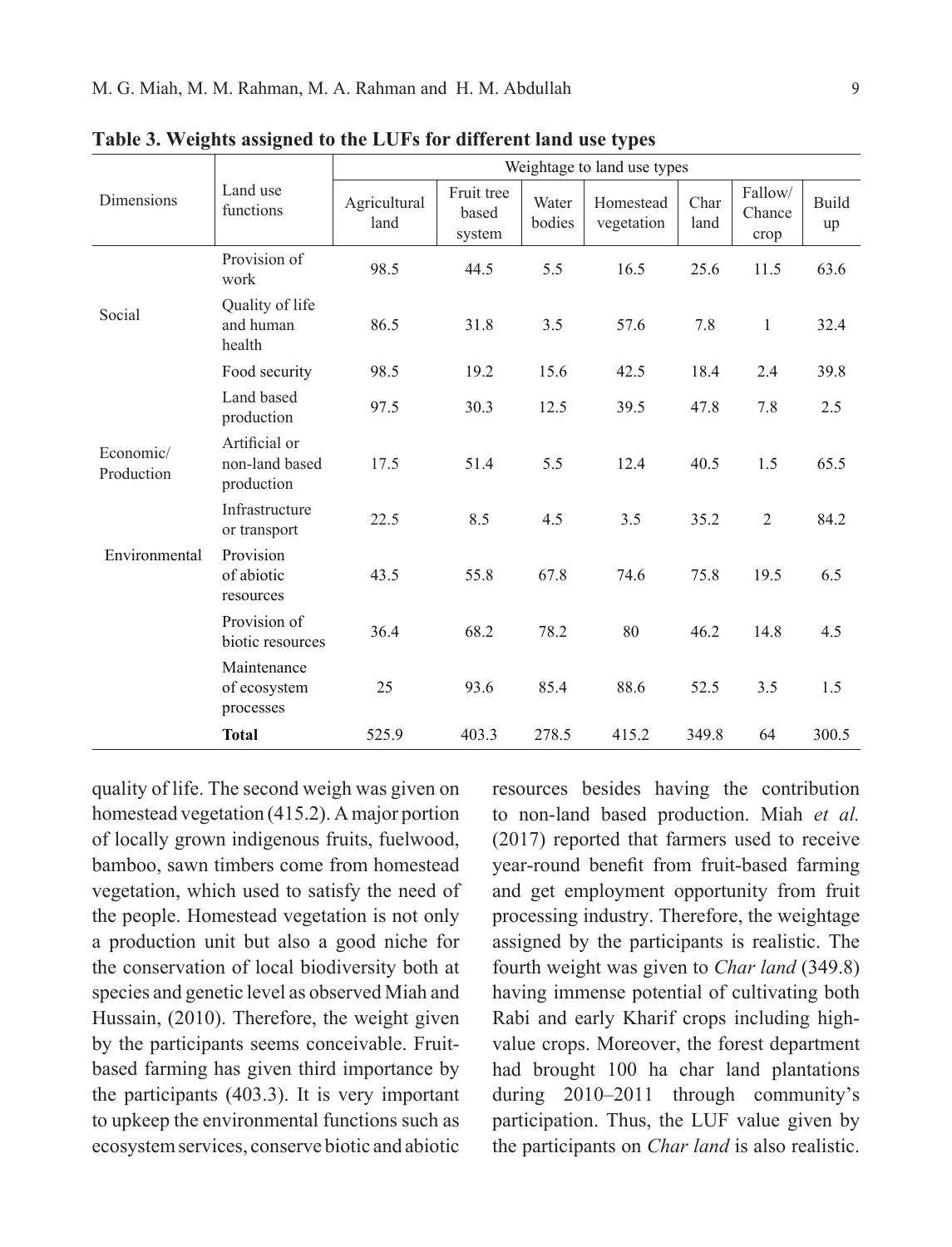|                         | Land use<br>functions                         | Weightage to land use types |                               |                 |                         |              |                           |                    |
|-------------------------|-----------------------------------------------|-----------------------------|-------------------------------|-----------------|-------------------------|--------------|---------------------------|--------------------|
| Dimensions              |                                               | Agricultural<br>land        | Fruit tree<br>based<br>system | Water<br>bodies | Homestead<br>vegetation | Char<br>land | Fallow/<br>Chance<br>crop | <b>Build</b><br>up |
| Social                  | Provision of<br>work                          | 98.5                        | 44.5                          | 5.5             | 16.5                    | 25.6         | 11.5                      | 63.6               |
|                         | Quality of life<br>and human<br>health        | 86.5                        | 31.8                          | 3.5             | 57.6                    | 7.8          | $\mathbf{1}$              | 32.4               |
|                         | Food security                                 | 98.5                        | 19.2                          | 15.6            | 42.5                    | 18.4         | 2.4                       | 39.8               |
| Economic/<br>Production | Land based<br>production                      | 97.5                        | 30.3                          | 12.5            | 39.5                    | 47.8         | 7.8                       | 2.5                |
|                         | Artificial or<br>non-land based<br>production | 17.5                        | 51.4                          | 5.5             | 12.4                    | 40.5         | 1.5                       | 65.5               |
|                         | Infrastructure<br>or transport                | 22.5                        | 8.5                           | 4.5             | 3.5                     | 35.2         | 2                         | 84.2               |
| Environmental           | Provision<br>of abiotic<br>resources          | 43.5                        | 55.8                          | 67.8            | 74.6                    | 75.8         | 19.5                      | 6.5                |
|                         | Provision of<br>biotic resources              | 36.4                        | 68.2                          | 78.2            | 80                      | 46.2         | 14.8                      | 4.5                |
|                         | Maintenance<br>of ecosystem<br>processes      | 25                          | 93.6                          | 85.4            | 88.6                    | 52.5         | 3.5                       | 1.5                |
|                         | <b>Total</b>                                  | 525.9                       | 403.3                         | 278.5           | 415.2                   | 349.8        | 64                        | 300.5              |

**Table 3. Weights assigned to the LUFs for different land use types**

quality of life. The second weigh was given on homestead vegetation (415.2). A major portion of locally grown indigenous fruits, fuelwood, bamboo, sawn timbers come from homestead vegetation, which used to satisfy the need of the people. Homestead vegetation is not only a production unit but also a good niche for the conservation of local biodiversity both at species and genetic level as observed Miah and Hussain, (2010). Therefore, the weight given by the participants seems conceivable. Fruitbased farming has given third importance by the participants (403.3). It is very important to upkeep the environmental functions such as ecosystem services, conserve biotic and abiotic

resources besides having the contribution to non-land based production. Miah *et al.* (2017) reported that farmers used to receive year-round benefit from fruit-based farming and get employment opportunity from fruit processing industry. Therefore, the weightage assigned by the participants is realistic. The fourth weight was given to *Char land* (349.8) having immense potential of cultivating both Rabi and early Kharif crops including highvalue crops. Moreover, the forest department had brought 100 ha char land plantations during 2010–2011 through community's participation. Thus, the LUF value given by the participants on *Char land* is also realistic.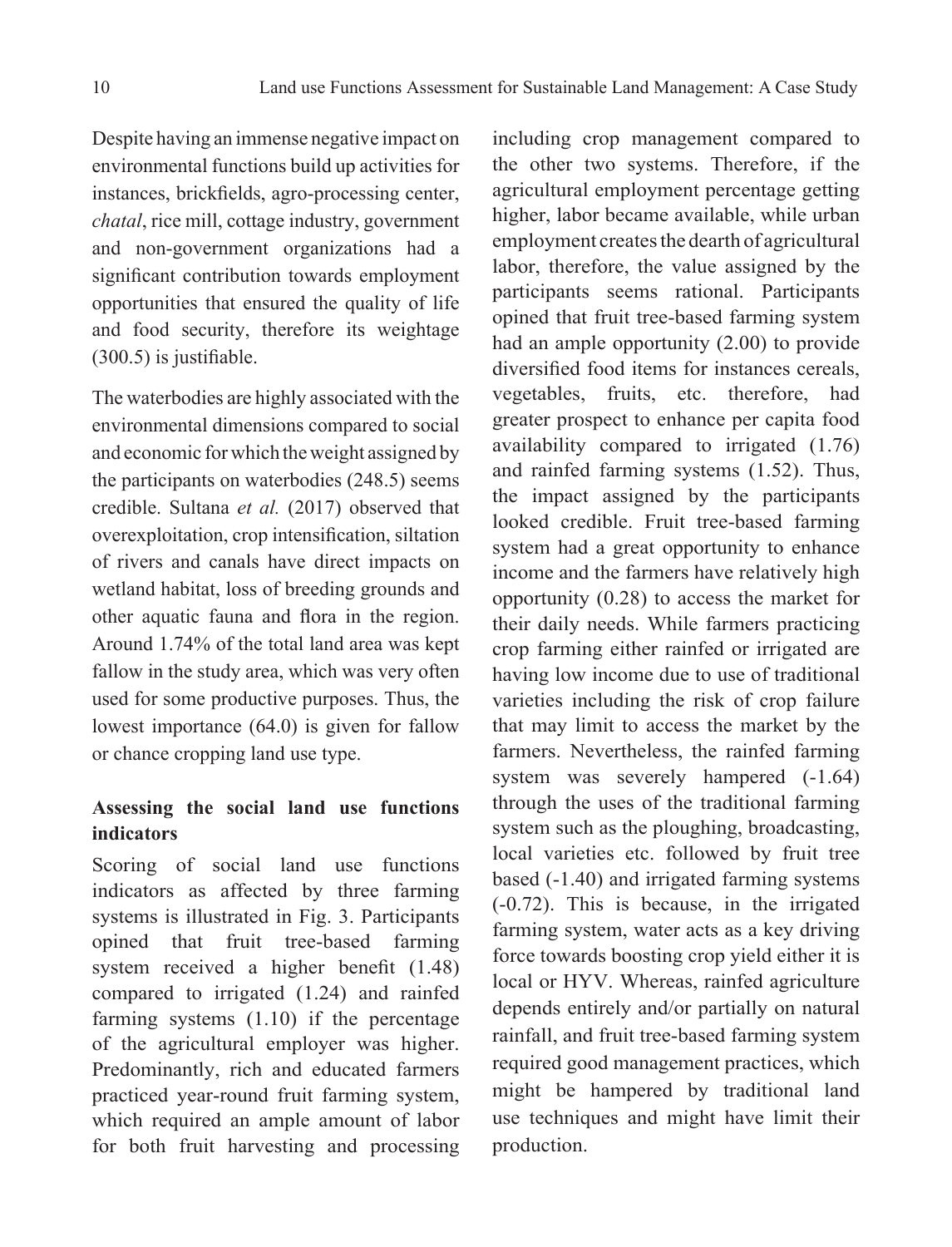Despite having an immense negative impact on environmental functions build up activities for instances, brickfields, agro-processing center, *chatal*, rice mill, cottage industry, government and non-government organizations had a significant contribution towards employment opportunities that ensured the quality of life and food security, therefore its weightage (300.5) is justifiable.

The waterbodies are highly associated with the environmental dimensions compared to social and economic for which the weight assigned by the participants on waterbodies (248.5) seems credible. Sultana *et al.* (2017) observed that overexploitation, crop intensification, siltation of rivers and canals have direct impacts on wetland habitat, loss of breeding grounds and other aquatic fauna and flora in the region. Around 1.74% of the total land area was kept fallow in the study area, which was very often used for some productive purposes. Thus, the lowest importance (64.0) is given for fallow or chance cropping land use type.

# **Assessing the social land use functions indicators**

Scoring of social land use functions indicators as affected by three farming systems is illustrated in Fig. 3. Participants opined that fruit tree-based farming system received a higher benefit (1.48) compared to irrigated (1.24) and rainfed farming systems (1.10) if the percentage of the agricultural employer was higher. Predominantly, rich and educated farmers practiced year-round fruit farming system, which required an ample amount of labor for both fruit harvesting and processing

including crop management compared to the other two systems. Therefore, if the agricultural employment percentage getting higher, labor became available, while urban employment creates the dearth of agricultural labor, therefore, the value assigned by the participants seems rational. Participants opined that fruit tree-based farming system had an ample opportunity (2.00) to provide diversified food items for instances cereals, vegetables, fruits, etc. therefore, had greater prospect to enhance per capita food availability compared to irrigated (1.76) and rainfed farming systems (1.52). Thus, the impact assigned by the participants looked credible. Fruit tree-based farming system had a great opportunity to enhance income and the farmers have relatively high opportunity (0.28) to access the market for their daily needs. While farmers practicing crop farming either rainfed or irrigated are having low income due to use of traditional varieties including the risk of crop failure that may limit to access the market by the farmers. Nevertheless, the rainfed farming system was severely hampered  $(-1.64)$ through the uses of the traditional farming system such as the ploughing, broadcasting, local varieties etc. followed by fruit tree based (-1.40) and irrigated farming systems (-0.72). This is because, in the irrigated farming system, water acts as a key driving force towards boosting crop yield either it is local or HYV. Whereas, rainfed agriculture depends entirely and/or partially on natural rainfall, and fruit tree-based farming system required good management practices, which might be hampered by traditional land use techniques and might have limit their production.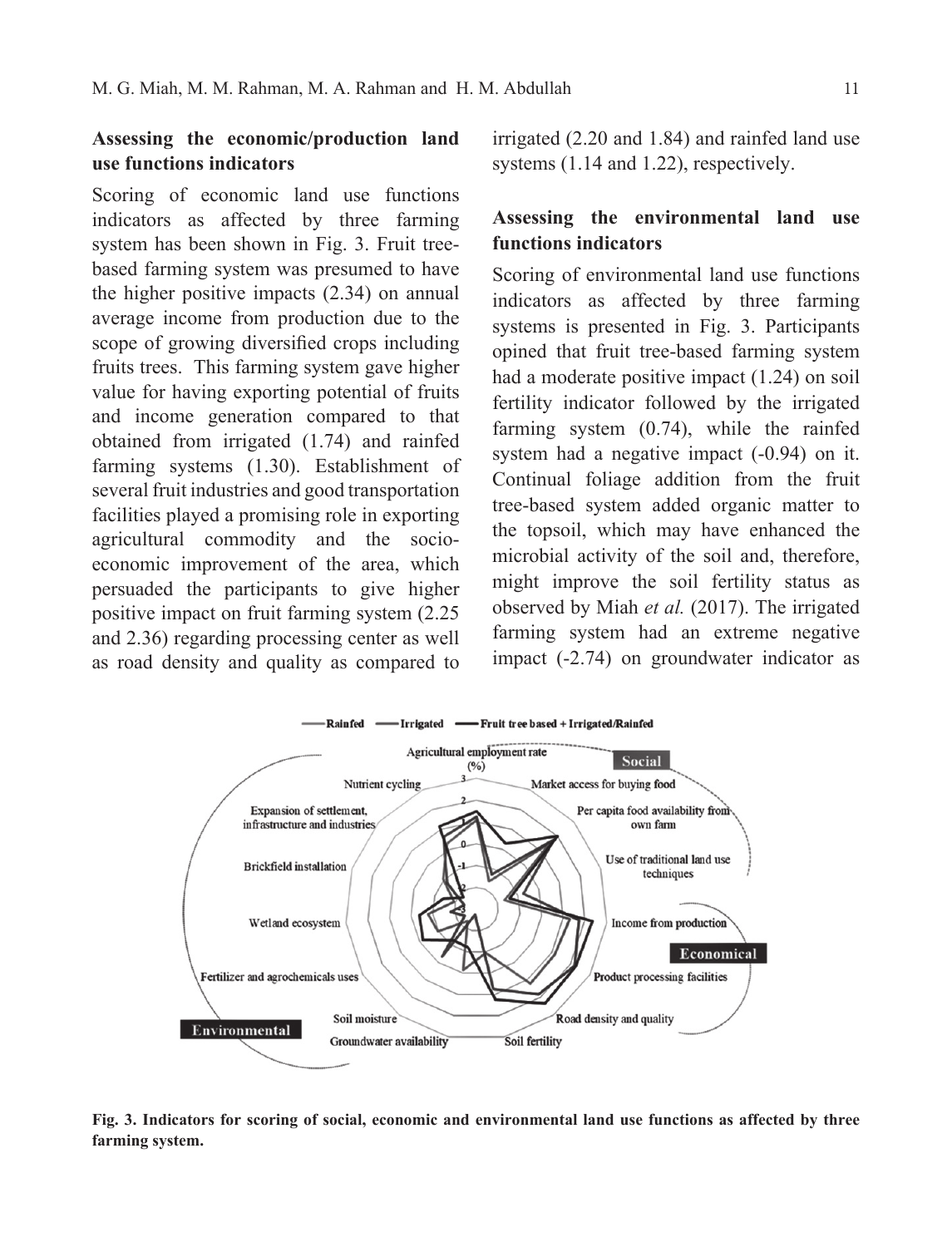# **Assessing the economic/production land use functions indicators**

Scoring of economic land use functions indicators as affected by three farming system has been shown in Fig. 3. Fruit treebased farming system was presumed to have the higher positive impacts (2.34) on annual average income from production due to the scope of growing diversified crops including fruits trees. This farming system gave higher value for having exporting potential of fruits and income generation compared to that obtained from irrigated (1.74) and rainfed farming systems (1.30). Establishment of several fruit industries and good transportation facilities played a promising role in exporting agricultural commodity and the socioeconomic improvement of the area, which persuaded the participants to give higher positive impact on fruit farming system (2.25 and 2.36) regarding processing center as well as road density and quality as compared to

irrigated (2.20 and 1.84) and rainfed land use systems (1.14 and 1.22), respectively.

# **Assessing the environmental land use functions indicators**

Scoring of environmental land use functions indicators as affected by three farming systems is presented in Fig. 3. Participants opined that fruit tree-based farming system had a moderate positive impact (1.24) on soil fertility indicator followed by the irrigated farming system (0.74), while the rainfed system had a negative impact (-0.94) on it. Continual foliage addition from the fruit tree-based system added organic matter to the topsoil, which may have enhanced the microbial activity of the soil and, therefore, might improve the soil fertility status as observed by Miah *et al.* (2017). The irrigated farming system had an extreme negative impact (-2.74) on groundwater indicator as



**Fig. 3. Indicators for scoring of social, economic and environmental land use functions as affected by three farming system.**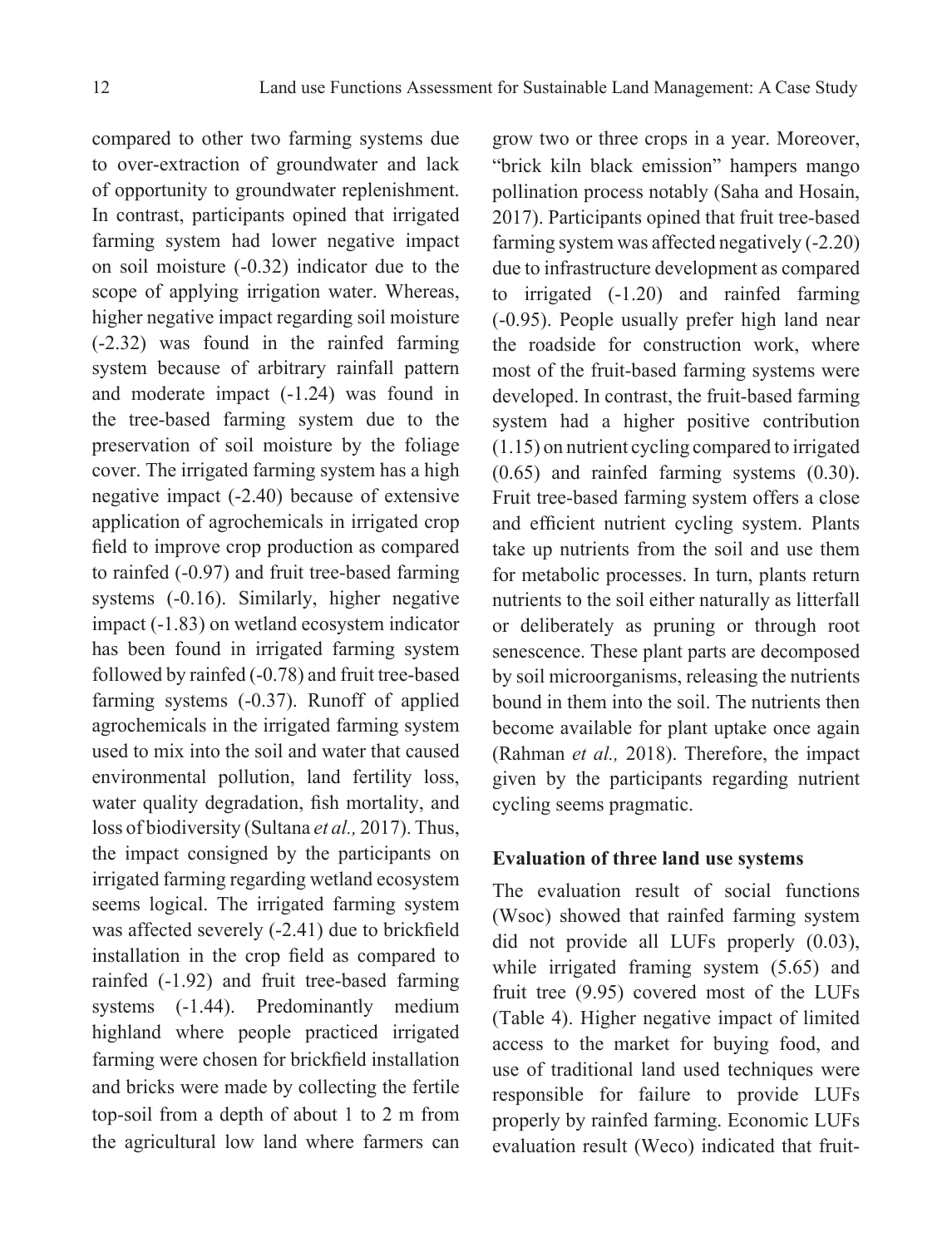compared to other two farming systems due to over-extraction of groundwater and lack of opportunity to groundwater replenishment. In contrast, participants opined that irrigated farming system had lower negative impact on soil moisture (-0.32) indicator due to the scope of applying irrigation water. Whereas, higher negative impact regarding soil moisture (-2.32) was found in the rainfed farming system because of arbitrary rainfall pattern and moderate impact (-1.24) was found in the tree-based farming system due to the preservation of soil moisture by the foliage cover. The irrigated farming system has a high negative impact (-2.40) because of extensive application of agrochemicals in irrigated crop field to improve crop production as compared to rainfed (-0.97) and fruit tree-based farming systems  $(-0.16)$ . Similarly, higher negative impact (-1.83) on wetland ecosystem indicator has been found in irrigated farming system followed by rainfed (-0.78) and fruit tree-based farming systems (-0.37). Runoff of applied agrochemicals in the irrigated farming system used to mix into the soil and water that caused environmental pollution, land fertility loss, water quality degradation, fish mortality, and loss of biodiversity (Sultana *et al.,* 2017). Thus, the impact consigned by the participants on irrigated farming regarding wetland ecosystem seems logical. The irrigated farming system was affected severely (-2.41) due to brickfield installation in the crop field as compared to rainfed (-1.92) and fruit tree-based farming systems  $(-1.44)$ . Predominantly medium highland where people practiced irrigated farming were chosen for brickfield installation and bricks were made by collecting the fertile top-soil from a depth of about 1 to 2 m from the agricultural low land where farmers can

grow two or three crops in a year. Moreover, "brick kiln black emission" hampers mango pollination process notably (Saha and Hosain, 2017). Participants opined that fruit tree-based farming system was affected negatively (-2.20) due to infrastructure development as compared to irrigated (-1.20) and rainfed farming (-0.95). People usually prefer high land near the roadside for construction work, where most of the fruit-based farming systems were developed. In contrast, the fruit-based farming system had a higher positive contribution (1.15) on nutrient cycling compared to irrigated (0.65) and rainfed farming systems (0.30). Fruit tree-based farming system offers a close and efficient nutrient cycling system. Plants take up nutrients from the soil and use them for metabolic processes. In turn, plants return nutrients to the soil either naturally as litterfall or deliberately as pruning or through root senescence. These plant parts are decomposed by soil microorganisms, releasing the nutrients bound in them into the soil. The nutrients then become available for plant uptake once again (Rahman *et al.,* 2018). Therefore, the impact given by the participants regarding nutrient cycling seems pragmatic.

### **Evaluation of three land use systems**

The evaluation result of social functions (Wsoc) showed that rainfed farming system did not provide all LUFs properly (0.03), while irrigated framing system  $(5.65)$  and fruit tree (9.95) covered most of the LUFs (Table 4). Higher negative impact of limited access to the market for buying food, and use of traditional land used techniques were responsible for failure to provide LUFs properly by rainfed farming. Economic LUFs evaluation result (Weco) indicated that fruit-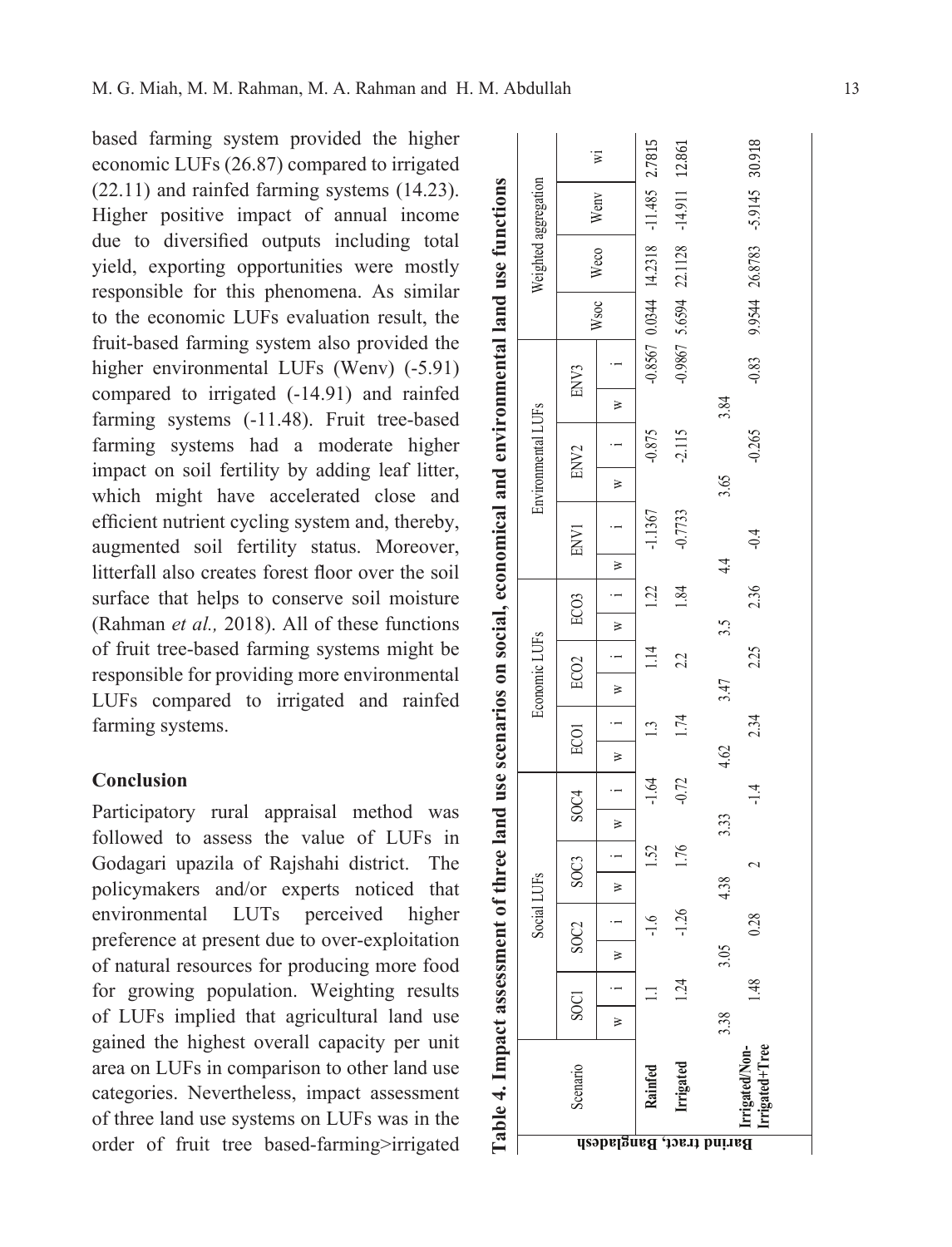based farming system provided the higher economic LUFs (26.87) compared to irrigated (22.11) and rainfed farming systems (14.23). Higher positive impact of annual income due to diversified outputs including total yield, exporting opportunities were mostly responsible for this phenomena. As similar to the economic LUFs evaluation result, the fruit-based farming system also provided the higher environmental LUFs (Wenv) (-5.91) compared to irrigated (-14.91) and rainfed farming systems (-11.48). Fruit tree-based farming systems had a moderate higher impact on soil fertility by adding leaf litter, which might have accelerated close and efficient nutrient cycling system and, thereby, augmented soil fertility status. Moreover, litterfall also creates forest floor over the soil surface that helps to conserve soil moisture (Rahman *et al.,* 2018). All of these functions of fruit tree-based farming systems might be responsible for providing more environmental LUFs compared to irrigated and rainfed farming systems.

### **Conclusion**

Participatory rural appraisal method was followed to assess the value of LUFs in Godagari upazila of Rajshahi district. The policymakers and/or experts noticed that environmental LUTs perceived higher preference at present due to over-exploitation of natural resources for producing more food for growing population. Weighting results of LUFs implied that agricultural land use gained the highest overall capacity per unit area on LUFs in comparison to other land use categories. Nevertheless, impact assessment of three land use systems on LUFs was in the order of fruit tree based-farming>irrigated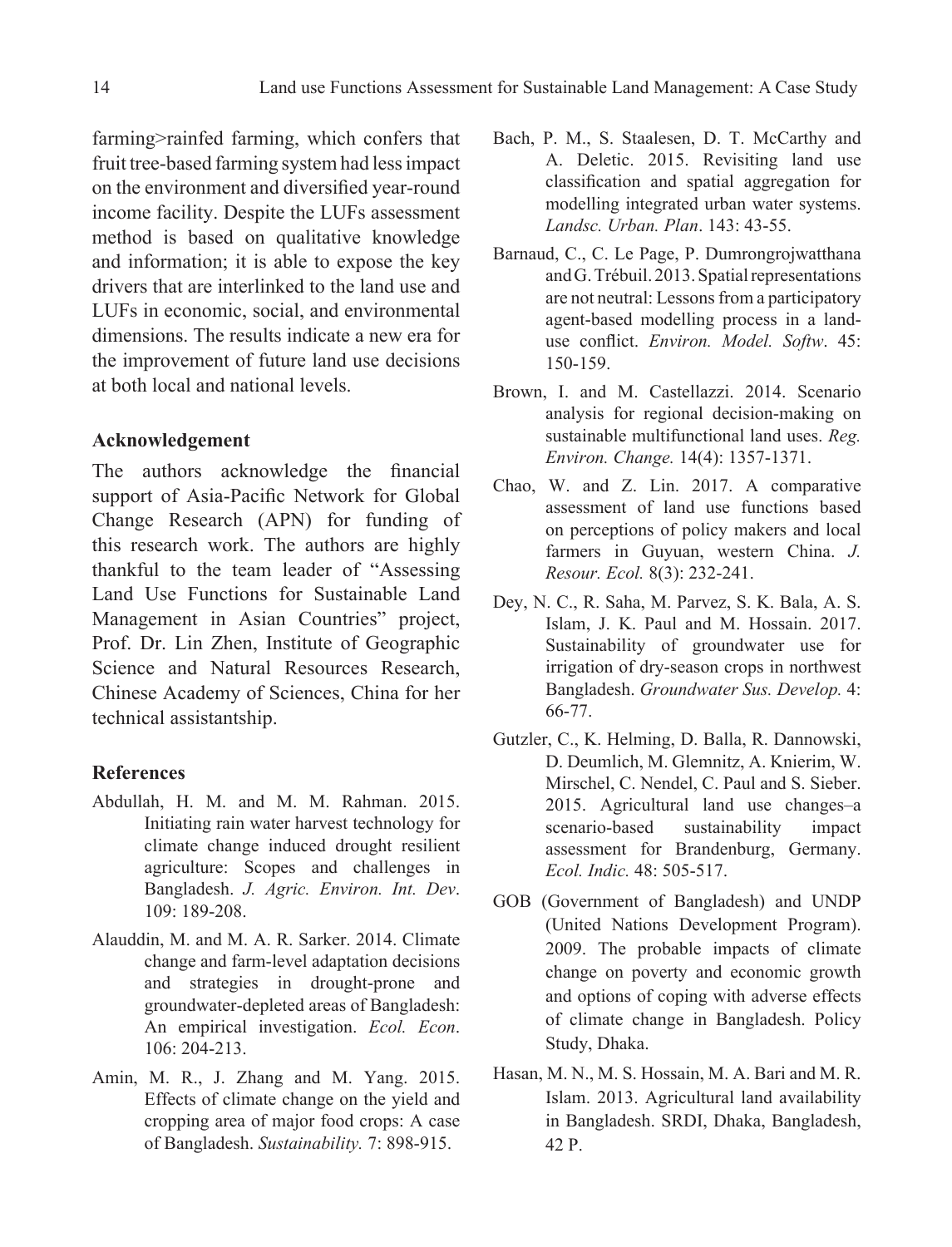farming>rainfed farming, which confers that fruit tree-based farming system had less impact on the environment and diversified year-round income facility. Despite the LUFs assessment method is based on qualitative knowledge and information; it is able to expose the key drivers that are interlinked to the land use and LUFs in economic, social, and environmental dimensions. The results indicate a new era for the improvement of future land use decisions at both local and national levels.

## **Acknowledgement**

The authors acknowledge the financial support of Asia-Pacific Network for Global Change Research (APN) for funding of this research work. The authors are highly thankful to the team leader of "Assessing Land Use Functions for Sustainable Land Management in Asian Countries" project, Prof. Dr. Lin Zhen, Institute of Geographic Science and Natural Resources Research, Chinese Academy of Sciences, China for her technical assistantship.

#### **References**

- Abdullah, H. M. and M. M. Rahman. 2015. Initiating rain water harvest technology for climate change induced drought resilient agriculture: Scopes and challenges in Bangladesh. *J. Agric. Environ. Int. Dev*. 109: 189-208.
- Alauddin, M. and M. A. R. Sarker. 2014. Climate change and farm-level adaptation decisions and strategies in drought-prone and groundwater-depleted areas of Bangladesh: An empirical investigation. *Ecol. Econ*. 106: 204-213.
- Amin, M. R., J. Zhang and M. Yang. 2015. Effects of climate change on the yield and cropping area of major food crops: A case of Bangladesh. *Sustainability.* 7: 898-915.
- Bach, P. M., S. Staalesen, D. T. McCarthy and A. Deletic. 2015. Revisiting land use classification and spatial aggregation for modelling integrated urban water systems. *Landsc. Urban. Plan*. 143: 43-55.
- Barnaud, C., C. Le Page, P. Dumrongrojwatthana and G. Trébuil. 2013. Spatial representations are not neutral: Lessons from a participatory agent-based modelling process in a landuse conflict. *Environ. Model. Softw*. 45: 150-159.
- Brown, I. and M. Castellazzi. 2014. Scenario analysis for regional decision-making on sustainable multifunctional land uses. *Reg. Environ. Change.* 14(4): 1357-1371.
- Chao, W. and Z. Lin. 2017. A comparative assessment of land use functions based on perceptions of policy makers and local farmers in Guyuan, western China. *J. Resour. Ecol.* 8(3): 232-241.
- Dey, N. C., R. Saha, M. Parvez, S. K. Bala, A. S. Islam, J. K. Paul and M. Hossain. 2017. Sustainability of groundwater use for irrigation of dry-season crops in northwest Bangladesh. *Groundwater Sus. Develop.* 4: 66-77.
- Gutzler, C., K. Helming, D. Balla, R. Dannowski, D. Deumlich, M. Glemnitz, A. Knierim, W. Mirschel, C. Nendel, C. Paul and S. Sieber. 2015. Agricultural land use changes–a scenario-based sustainability impact assessment for Brandenburg, Germany. *Ecol. Indic.* 48: 505-517.
- GOB (Government of Bangladesh) and UNDP (United Nations Development Program). 2009. The probable impacts of climate change on poverty and economic growth and options of coping with adverse effects of climate change in Bangladesh. Policy Study, Dhaka.
- Hasan, M. N., M. S. Hossain, M. A. Bari and M. R. Islam. 2013. Agricultural land availability in Bangladesh. SRDI, Dhaka, Bangladesh, 42 P.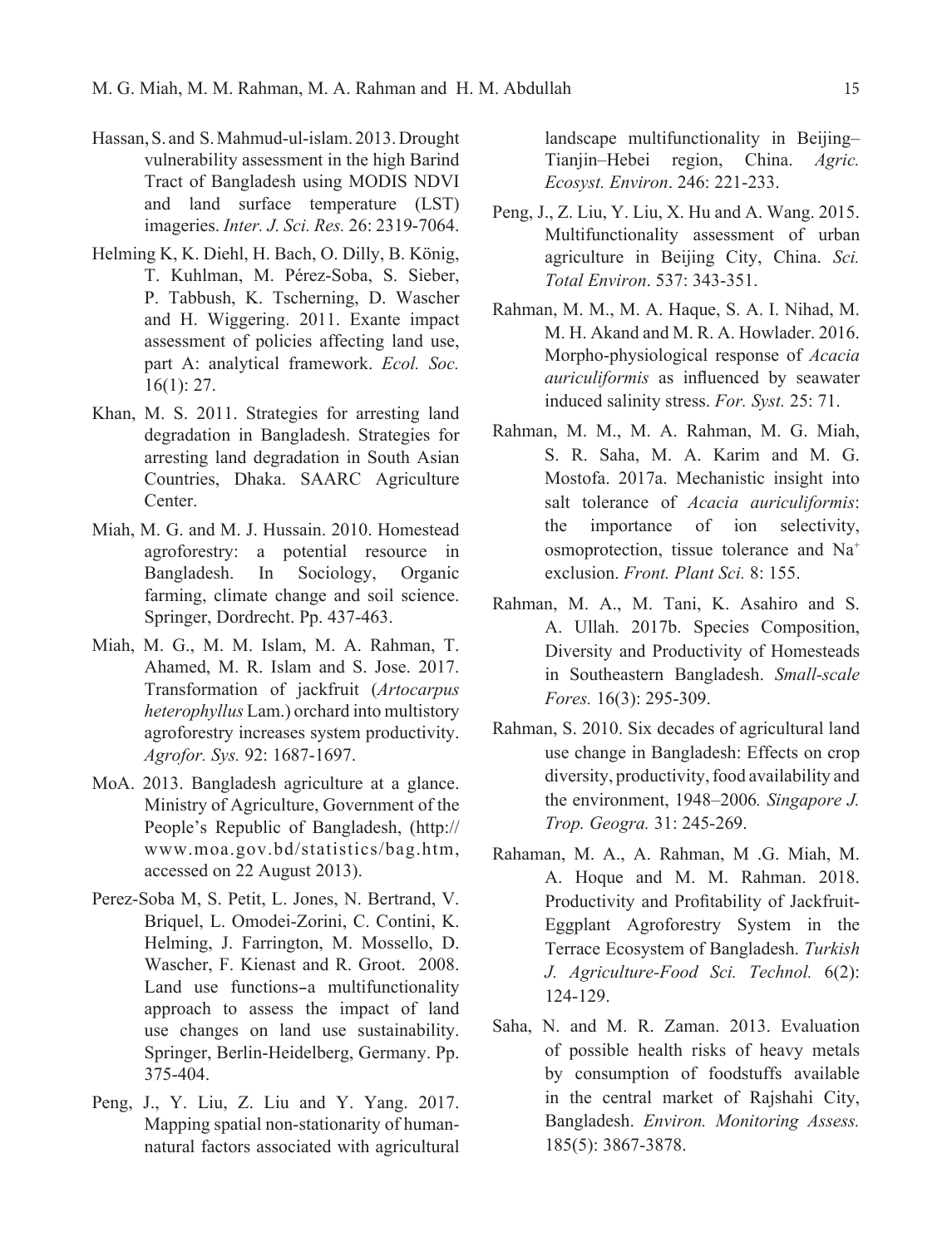- Hassan, S. and S. Mahmud-ul-islam. 2013. Drought vulnerability assessment in the high Barind Tract of Bangladesh using MODIS NDVI and land surface temperature (LST) imageries. *Inter. J. Sci. Res.* 26: 2319-7064.
- Helming K, K. Diehl, H. Bach, O. Dilly, B. König, T. Kuhlman, M. Pérez-Soba, S. Sieber, P. Tabbush, K. Tscherning, D. Wascher and H. Wiggering. 2011. Exante impact assessment of policies affecting land use, part A: analytical framework. *Ecol. Soc.* 16(1): 27.
- Khan, M. S. 2011. Strategies for arresting land degradation in Bangladesh. Strategies for arresting land degradation in South Asian Countries, Dhaka. SAARC Agriculture Center.
- Miah, M. G. and M. J. Hussain. 2010. Homestead agroforestry: a potential resource in Bangladesh. In Sociology, Organic farming, climate change and soil science. Springer, Dordrecht. Pp. 437-463.
- Miah, M. G., M. M. Islam, M. A. Rahman, T. Ahamed, M. R. Islam and S. Jose. 2017. Transformation of jackfruit (*Artocarpus heterophyllus* Lam.) orchard into multistory agroforestry increases system productivity. *Agrofor. Sys.* 92: 1687-1697.
- MoA. 2013. Bangladesh agriculture at a glance. Ministry of Agriculture, Government of the People's Republic of Bangladesh, (http:// www.moa.gov.bd/statistics/bag.htm, accessed on 22 August 2013).
- Perez-Soba M, S. Petit, L. Jones, N. Bertrand, V. Briquel, L. Omodei-Zorini, C. Contini, K. Helming, J. Farrington, M. Mossello, D. Wascher, F. Kienast and R. Groot. 2008. Land use functions-a multifunctionality approach to assess the impact of land use changes on land use sustainability. Springer, Berlin-Heidelberg, Germany. Pp. 375-404.
- Peng, J., Y. Liu, Z. Liu and Y. Yang. 2017. Mapping spatial non-stationarity of humannatural factors associated with agricultural

landscape multifunctionality in Beijing– Tianjin–Hebei region, China. *Agric. Ecosyst. Environ*. 246: 221-233.

- Peng, J., Z. Liu, Y. Liu, X. Hu and A. Wang. 2015. Multifunctionality assessment of urban agriculture in Beijing City, China. *Sci. Total Environ*. 537: 343-351.
- Rahman, M. M., M. A. Haque, S. A. I. Nihad, M. M. H. Akand and M. R. A. Howlader. 2016. Morpho-physiological response of *Acacia auriculiformis* as influenced by seawater induced salinity stress. *For. Syst.* 25: 71.
- Rahman, M. M., M. A. Rahman, M. G. Miah, S. R. Saha, M. A. Karim and M. G. Mostofa. 2017a. Mechanistic insight into salt tolerance of *Acacia auriculiformis*: the importance of ion selectivity, osmoprotection, tissue tolerance and Na+ exclusion. *Front. Plant Sci.* 8: 155.
- Rahman, M. A., M. Tani, K. Asahiro and S. A. Ullah. 2017b. Species Composition, Diversity and Productivity of Homesteads in Southeastern Bangladesh. *Small-scale Fores.* 16(3): 295-309.
- Rahman, S. 2010. Six decades of agricultural land use change in Bangladesh: Effects on crop diversity, productivity, food availability and the environment, 1948–2006*. Singapore J. Trop. Geogra.* 31: 245-269.
- Rahaman, M. A., A. Rahman, M .G. Miah, M. A. Hoque and M. M. Rahman. 2018. Productivity and Profitability of Jackfruit-Eggplant Agroforestry System in the Terrace Ecosystem of Bangladesh. *Turkish J. Agriculture-Food Sci. Technol.* 6(2): 124-129.
- Saha, N. and M. R. Zaman. 2013. Evaluation of possible health risks of heavy metals by consumption of foodstuffs available in the central market of Rajshahi City, Bangladesh. *Environ. Monitoring Assess.*  185(5): 3867-3878.